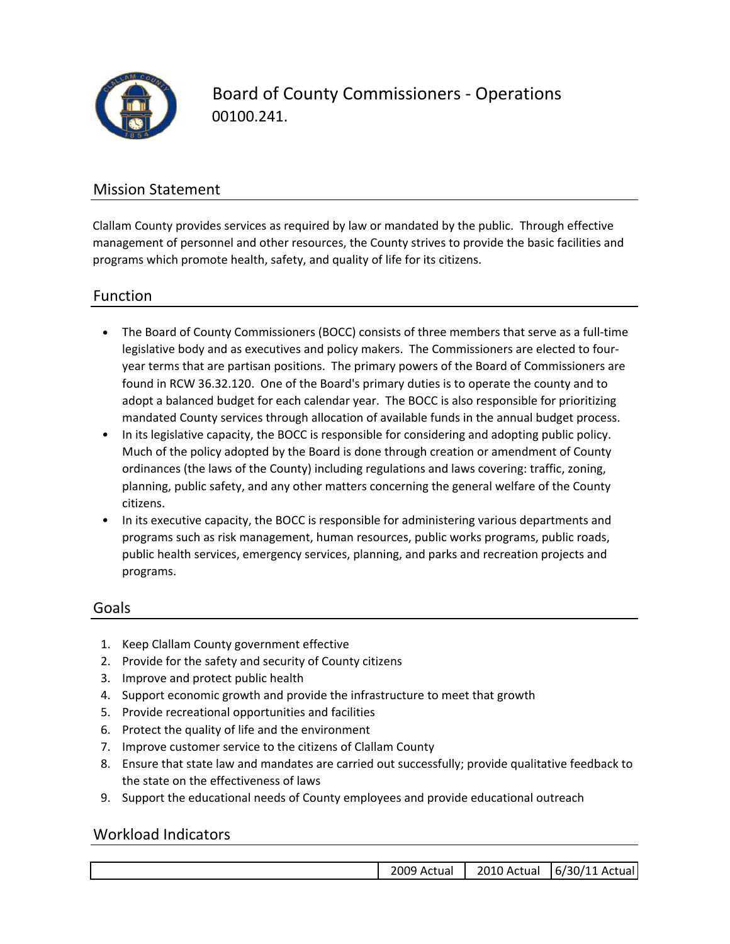

Board of County Commissioners ‐ Operations 00100.241.

## Mission Statement

Clallam County provides services as required by law or mandated by the public. Through effective management of personnel and other resources, the County strives to provide the basic facilities and programs which promote health, safety, and quality of life for its citizens.

### Function

- The Board of County Commissioners (BOCC) consists of three members that serve as a full‐time legislative body and as executives and policy makers. The Commissioners are elected to four‐ year terms that are partisan positions. The primary powers of the Board of Commissioners are found in RCW 36.32.120. One of the Board's primary duties is to operate the county and to adopt a balanced budget for each calendar year. The BOCC is also responsible for prioritizing mandated County services through allocation of available funds in the annual budget process.
- In its legislative capacity, the BOCC is responsible for considering and adopting public policy. Much of the policy adopted by the Board is done through creation or amendment of County ordinances (the laws of the County) including regulations and laws covering: traffic, zoning, planning, public safety, and any other matters concerning the general welfare of the County citizens.
- In its executive capacity, the BOCC is responsible for administering various departments and programs such as risk management, human resources, public works programs, public roads, public health services, emergency services, planning, and parks and recreation projects and programs.

### Goals

- 1. Keep Clallam County government effective
- 2. Provide for the safety and security of County citizens
- 3. Improve and protect public health
- 4. Support economic growth and provide the infrastructure to meet that growth
- 5. Provide recreational opportunities and facilities
- 6. Protect the quality of life and the environment
- 7. Improve customer service to the citizens of Clallam County
- 8. Ensure that state law and mandates are carried out successfully; provide qualitative feedback to the state on the effectiveness of laws
- 9. Support the educational needs of County employees and provide educational outreach

### Workload Indicators

| Actual<br>$\sim$ | <b>ιυ.</b> |                                      |
|------------------|------------|--------------------------------------|
| ገር               | '' Actual  | uall<br>30/1 ،<br>6/<br>$\mathbf{a}$ |